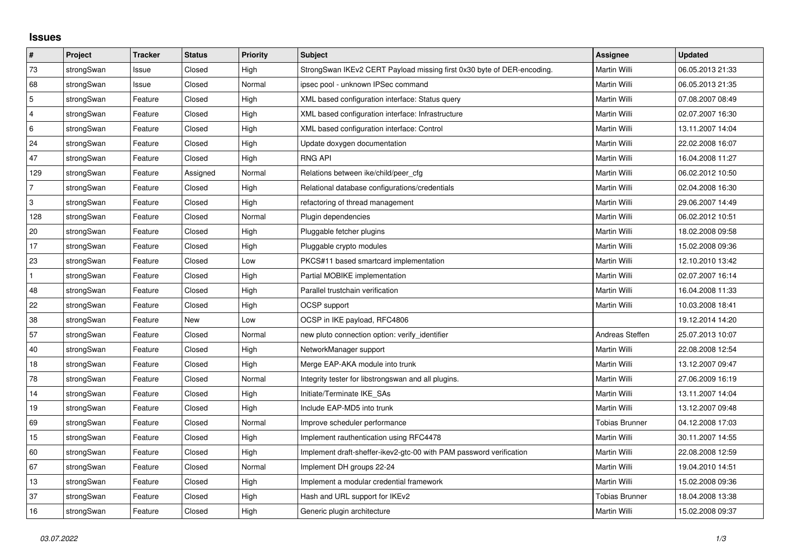## **Issues**

| $\pmb{\#}$     | Project    | <b>Tracker</b> | <b>Status</b> | <b>Priority</b> | <b>Subject</b>                                                         | Assignee              | <b>Updated</b>   |
|----------------|------------|----------------|---------------|-----------------|------------------------------------------------------------------------|-----------------------|------------------|
| 73             | strongSwan | Issue          | Closed        | High            | StrongSwan IKEv2 CERT Payload missing first 0x30 byte of DER-encoding. | Martin Willi          | 06.05.2013 21:33 |
| 68             | strongSwan | Issue          | Closed        | Normal          | ipsec pool - unknown IPSec command                                     | Martin Willi          | 06.05.2013 21:35 |
| $\overline{5}$ | strongSwan | Feature        | Closed        | High            | XML based configuration interface: Status query                        | Martin Willi          | 07.08.2007 08:49 |
| $\overline{4}$ | strongSwan | Feature        | Closed        | High            | XML based configuration interface: Infrastructure                      | Martin Willi          | 02.07.2007 16:30 |
| 6              | strongSwan | Feature        | Closed        | High            | XML based configuration interface: Control                             | Martin Willi          | 13.11.2007 14:04 |
| 24             | strongSwan | Feature        | Closed        | High            | Update doxygen documentation                                           | Martin Willi          | 22.02.2008 16:07 |
| 47             | strongSwan | Feature        | Closed        | High            | <b>RNG API</b>                                                         | Martin Willi          | 16.04.2008 11:27 |
| 129            | strongSwan | Feature        | Assigned      | Normal          | Relations between ike/child/peer_cfg                                   | Martin Willi          | 06.02.2012 10:50 |
| $\overline{7}$ | strongSwan | Feature        | Closed        | High            | Relational database configurations/credentials                         | Martin Willi          | 02.04.2008 16:30 |
| 3              | strongSwan | Feature        | Closed        | High            | refactoring of thread management                                       | Martin Willi          | 29.06.2007 14:49 |
| 128            | strongSwan | Feature        | Closed        | Normal          | Plugin dependencies                                                    | Martin Willi          | 06.02.2012 10:51 |
| 20             | strongSwan | Feature        | Closed        | High            | Pluggable fetcher plugins                                              | Martin Willi          | 18.02.2008 09:58 |
| 17             | strongSwan | Feature        | Closed        | High            | Pluggable crypto modules                                               | Martin Willi          | 15.02.2008 09:36 |
| 23             | strongSwan | Feature        | Closed        | Low             | PKCS#11 based smartcard implementation                                 | Martin Willi          | 12.10.2010 13:42 |
| $\mathbf{1}$   | strongSwan | Feature        | Closed        | High            | Partial MOBIKE implementation                                          | Martin Willi          | 02.07.2007 16:14 |
| 48             | strongSwan | Feature        | Closed        | High            | Parallel trustchain verification                                       | Martin Willi          | 16.04.2008 11:33 |
| 22             | strongSwan | Feature        | Closed        | High            | <b>OCSP</b> support                                                    | Martin Willi          | 10.03.2008 18:41 |
| 38             | strongSwan | Feature        | <b>New</b>    | Low             | OCSP in IKE payload, RFC4806                                           |                       | 19.12.2014 14:20 |
| 57             | strongSwan | Feature        | Closed        | Normal          | new pluto connection option: verify identifier                         | Andreas Steffen       | 25.07.2013 10:07 |
| 40             | strongSwan | Feature        | Closed        | High            | NetworkManager support                                                 | Martin Willi          | 22.08.2008 12:54 |
| $18\,$         | strongSwan | Feature        | Closed        | High            | Merge EAP-AKA module into trunk                                        | Martin Willi          | 13.12.2007 09:47 |
| 78             | strongSwan | Feature        | Closed        | Normal          | Integrity tester for libstrongswan and all plugins.                    | Martin Willi          | 27.06.2009 16:19 |
| 14             | strongSwan | Feature        | Closed        | High            | Initiate/Terminate IKE_SAs                                             | Martin Willi          | 13.11.2007 14:04 |
| 19             | strongSwan | Feature        | Closed        | High            | Include EAP-MD5 into trunk                                             | Martin Willi          | 13.12.2007 09:48 |
| 69             | strongSwan | Feature        | Closed        | Normal          | Improve scheduler performance                                          | <b>Tobias Brunner</b> | 04.12.2008 17:03 |
| 15             | strongSwan | Feature        | Closed        | High            | Implement rauthentication using RFC4478                                | Martin Willi          | 30.11.2007 14:55 |
| 60             | strongSwan | Feature        | Closed        | High            | Implement draft-sheffer-ikev2-gtc-00 with PAM password verification    | Martin Willi          | 22.08.2008 12:59 |
| 67             | strongSwan | Feature        | Closed        | Normal          | Implement DH groups 22-24                                              | Martin Willi          | 19.04.2010 14:51 |
| 13             | strongSwan | Feature        | Closed        | High            | Implement a modular credential framework                               | Martin Willi          | 15.02.2008 09:36 |
| 37             | strongSwan | Feature        | Closed        | High            | Hash and URL support for IKEv2                                         | <b>Tobias Brunner</b> | 18.04.2008 13:38 |
| 16             | strongSwan | Feature        | Closed        | High            | Generic plugin architecture                                            | Martin Willi          | 15.02.2008 09:37 |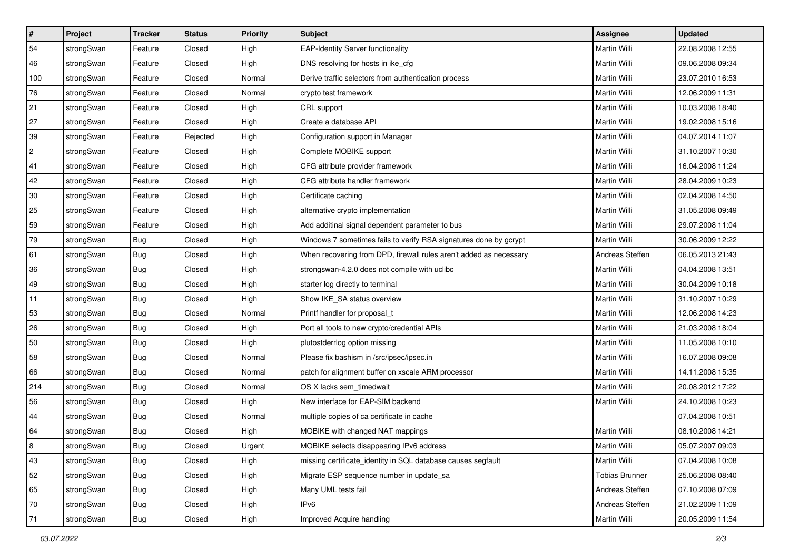| $\vert$ #      | Project    | <b>Tracker</b> | <b>Status</b> | Priority | <b>Subject</b>                                                     | <b>Assignee</b>       | <b>Updated</b>   |
|----------------|------------|----------------|---------------|----------|--------------------------------------------------------------------|-----------------------|------------------|
| 54             | strongSwan | Feature        | Closed        | High     | <b>EAP-Identity Server functionality</b>                           | Martin Willi          | 22.08.2008 12:55 |
| 46             | strongSwan | Feature        | Closed        | High     | DNS resolving for hosts in ike_cfg                                 | Martin Willi          | 09.06.2008 09:34 |
| 100            | strongSwan | Feature        | Closed        | Normal   | Derive traffic selectors from authentication process               | Martin Willi          | 23.07.2010 16:53 |
| 76             | strongSwan | Feature        | Closed        | Normal   | crypto test framework                                              | Martin Willi          | 12.06.2009 11:31 |
| 21             | strongSwan | Feature        | Closed        | High     | CRL support                                                        | Martin Willi          | 10.03.2008 18:40 |
| 27             | strongSwan | Feature        | Closed        | High     | Create a database API                                              | Martin Willi          | 19.02.2008 15:16 |
| 39             | strongSwan | Feature        | Rejected      | High     | Configuration support in Manager                                   | Martin Willi          | 04.07.2014 11:07 |
| $\overline{c}$ | strongSwan | Feature        | Closed        | High     | Complete MOBIKE support                                            | Martin Willi          | 31.10.2007 10:30 |
| 41             | strongSwan | Feature        | Closed        | High     | CFG attribute provider framework                                   | Martin Willi          | 16.04.2008 11:24 |
| 42             | strongSwan | Feature        | Closed        | High     | CFG attribute handler framework                                    | Martin Willi          | 28.04.2009 10:23 |
| 30             | strongSwan | Feature        | Closed        | High     | Certificate caching                                                | Martin Willi          | 02.04.2008 14:50 |
| 25             | strongSwan | Feature        | Closed        | High     | alternative crypto implementation                                  | <b>Martin Willi</b>   | 31.05.2008 09:49 |
| 59             | strongSwan | Feature        | Closed        | High     | Add additinal signal dependent parameter to bus                    | Martin Willi          | 29.07.2008 11:04 |
| 79             | strongSwan | <b>Bug</b>     | Closed        | High     | Windows 7 sometimes fails to verify RSA signatures done by gcrypt  | Martin Willi          | 30.06.2009 12:22 |
| 61             | strongSwan | Bug            | Closed        | High     | When recovering from DPD, firewall rules aren't added as necessary | Andreas Steffen       | 06.05.2013 21:43 |
| 36             | strongSwan | <b>Bug</b>     | Closed        | High     | strongswan-4.2.0 does not compile with uclibc                      | Martin Willi          | 04.04.2008 13:51 |
| 49             | strongSwan | <b>Bug</b>     | Closed        | High     | starter log directly to terminal                                   | Martin Willi          | 30.04.2009 10:18 |
| 11             | strongSwan | Bug            | Closed        | High     | Show IKE_SA status overview                                        | Martin Willi          | 31.10.2007 10:29 |
| 53             | strongSwan | <b>Bug</b>     | Closed        | Normal   | Printf handler for proposal t                                      | Martin Willi          | 12.06.2008 14:23 |
| 26             | strongSwan | <b>Bug</b>     | Closed        | High     | Port all tools to new crypto/credential APIs                       | Martin Willi          | 21.03.2008 18:04 |
| 50             | strongSwan | <b>Bug</b>     | Closed        | High     | plutostderrlog option missing                                      | Martin Willi          | 11.05.2008 10:10 |
| 58             | strongSwan | <b>Bug</b>     | Closed        | Normal   | Please fix bashism in /src/ipsec/ipsec.in                          | Martin Willi          | 16.07.2008 09:08 |
| 66             | strongSwan | Bug            | Closed        | Normal   | patch for alignment buffer on xscale ARM processor                 | Martin Willi          | 14.11.2008 15:35 |
| 214            | strongSwan | <b>Bug</b>     | Closed        | Normal   | OS X lacks sem timedwait                                           | Martin Willi          | 20.08.2012 17:22 |
| 56             | strongSwan | <b>Bug</b>     | Closed        | High     | New interface for EAP-SIM backend                                  | Martin Willi          | 24.10.2008 10:23 |
| 44             | strongSwan | <b>Bug</b>     | Closed        | Normal   | multiple copies of ca certificate in cache                         |                       | 07.04.2008 10:51 |
| 64             | strongSwan | Bug            | Closed        | High     | MOBIKE with changed NAT mappings                                   | Martin Willi          | 08.10.2008 14:21 |
| $\,$ 8 $\,$    | strongSwan | Bug            | Closed        | Urgent   | MOBIKE selects disappearing IPv6 address                           | Martin Willi          | 05.07.2007 09:03 |
| 43             | strongSwan | Bug            | Closed        | High     | missing certificate_identity in SQL database causes segfault       | Martin Willi          | 07.04.2008 10:08 |
| 52             | strongSwan | Bug            | Closed        | High     | Migrate ESP sequence number in update_sa                           | <b>Tobias Brunner</b> | 25.06.2008 08:40 |
| 65             | strongSwan | Bug            | Closed        | High     | Many UML tests fail                                                | Andreas Steffen       | 07.10.2008 07:09 |
| 70             | strongSwan | Bug            | Closed        | High     | IP <sub>v6</sub>                                                   | Andreas Steffen       | 21.02.2009 11:09 |
| 71             | strongSwan | <b>Bug</b>     | Closed        | High     | Improved Acquire handling                                          | Martin Willi          | 20.05.2009 11:54 |